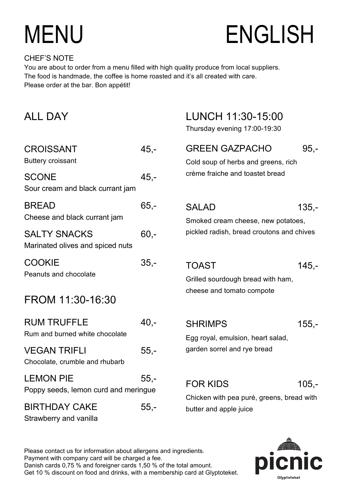# MENU ENGLISH

#### CHEF'S NOTE

You are about to order from a menu filled with high quality produce from local suppliers. The food is handmade, the coffee is home roasted and it's all created with care. Please order at the bar. Bon appétit!

| <b>ALL DAY</b>                                           |         | LUNCH 11:30-15:00<br>Thursday evening 17:00-19:30                              |         |
|----------------------------------------------------------|---------|--------------------------------------------------------------------------------|---------|
| <b>CROISSANT</b><br><b>Buttery croissant</b>             | $45,-$  | <b>GREEN GAZPACHO</b><br>Cold soup of herbs and greens, rich                   | $95 -$  |
| <b>SCONE</b><br>Sour cream and black currant jam         | $45 -$  | crème fraiche and toastet bread                                                |         |
| <b>BREAD</b><br>Cheese and black currant jam             | $65 -$  | <b>SALAD</b><br>Smoked cream cheese, new potatoes,                             | $135 -$ |
| <b>SALTY SNACKS</b><br>Marinated olives and spiced nuts  | $60 -$  | pickled radish, bread croutons and chives                                      |         |
| <b>COOKIE</b><br>Peanuts and chocolate                   | $35,-$  | <b>TOAST</b><br>Grilled sourdough bread with ham,<br>cheese and tomato compote | $145 -$ |
| FROM 11:30-16:30                                         |         |                                                                                |         |
| <b>RUM TRUFFLE</b><br>Rum and burned white chocolate     | $40, -$ | <b>SHRIMPS</b><br>Egg royal, emulsion, heart salad,                            | $155,-$ |
| <b>VEGAN TRIFLI</b><br>Chocolate, crumble and rhubarb    | $55 -$  | garden sorrel and rye bread                                                    |         |
| <b>LEMON PIE</b><br>Poppy seeds, lemon curd and meringue | $55,-$  | <b>FOR KIDS</b>                                                                | $105,-$ |
| <b>BIRTHDAY CAKE</b><br>Strawberry and vanilla           | $55,-$  | Chicken with pea puré, greens, bread with<br>butter and apple juice            |         |

Please contact us for information about allergens and ingredients. Danish cards 0,75 % and foreigner cards 1,50 % of the total amount. Get 10 % discount on food and drinks, with a membership card at Glyptoteket. Payment with company card will be charged a fee.